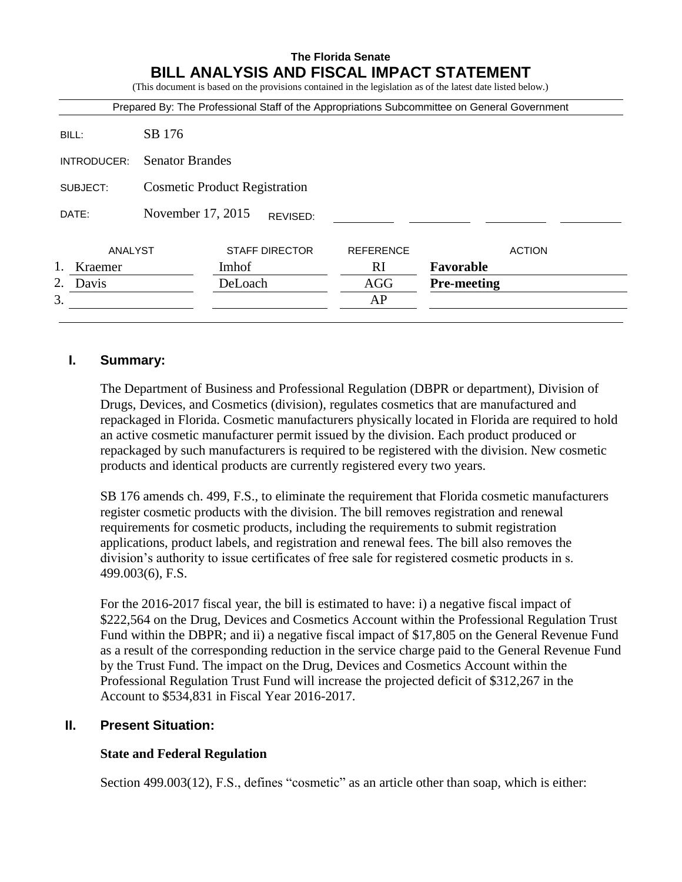# **The Florida Senate BILL ANALYSIS AND FISCAL IMPACT STATEMENT**

(This document is based on the provisions contained in the legislation as of the latest date listed below.)

|               |                                      |         |                       |                  | Prepared By: The Professional Staff of the Appropriations Subcommittee on General Government |  |  |  |  |
|---------------|--------------------------------------|---------|-----------------------|------------------|----------------------------------------------------------------------------------------------|--|--|--|--|
| BILL:         | SB 176                               |         |                       |                  |                                                                                              |  |  |  |  |
| INTRODUCER:   | <b>Senator Brandes</b>               |         |                       |                  |                                                                                              |  |  |  |  |
| SUBJECT:      | <b>Cosmetic Product Registration</b> |         |                       |                  |                                                                                              |  |  |  |  |
| DATE:         | November 17, 2015                    |         | REVISED:              |                  |                                                                                              |  |  |  |  |
| ANALYST       |                                      |         | <b>STAFF DIRECTOR</b> | <b>REFERENCE</b> | <b>ACTION</b>                                                                                |  |  |  |  |
| 1.<br>Kraemer |                                      | Imhof   |                       | <sub>RI</sub>    | Favorable                                                                                    |  |  |  |  |
| 2.<br>Davis   |                                      | DeLoach |                       | AGG              | <b>Pre-meeting</b>                                                                           |  |  |  |  |
| 3.            |                                      |         |                       | AP               |                                                                                              |  |  |  |  |

## **I. Summary:**

The Department of Business and Professional Regulation (DBPR or department), Division of Drugs, Devices, and Cosmetics (division), regulates cosmetics that are manufactured and repackaged in Florida. Cosmetic manufacturers physically located in Florida are required to hold an active cosmetic manufacturer permit issued by the division. Each product produced or repackaged by such manufacturers is required to be registered with the division. New cosmetic products and identical products are currently registered every two years.

SB 176 amends ch. 499, F.S., to eliminate the requirement that Florida cosmetic manufacturers register cosmetic products with the division. The bill removes registration and renewal requirements for cosmetic products, including the requirements to submit registration applications, product labels, and registration and renewal fees. The bill also removes the division's authority to issue certificates of free sale for registered cosmetic products in s. 499.003(6), F.S.

For the 2016-2017 fiscal year, the bill is estimated to have: i) a negative fiscal impact of \$222,564 on the Drug, Devices and Cosmetics Account within the Professional Regulation Trust Fund within the DBPR; and ii) a negative fiscal impact of \$17,805 on the General Revenue Fund as a result of the corresponding reduction in the service charge paid to the General Revenue Fund by the Trust Fund. The impact on the Drug, Devices and Cosmetics Account within the Professional Regulation Trust Fund will increase the projected deficit of \$312,267 in the Account to \$534,831 in Fiscal Year 2016-2017.

### **II. Present Situation:**

### **State and Federal Regulation**

Section 499.003(12), F.S., defines "cosmetic" as an article other than soap, which is either: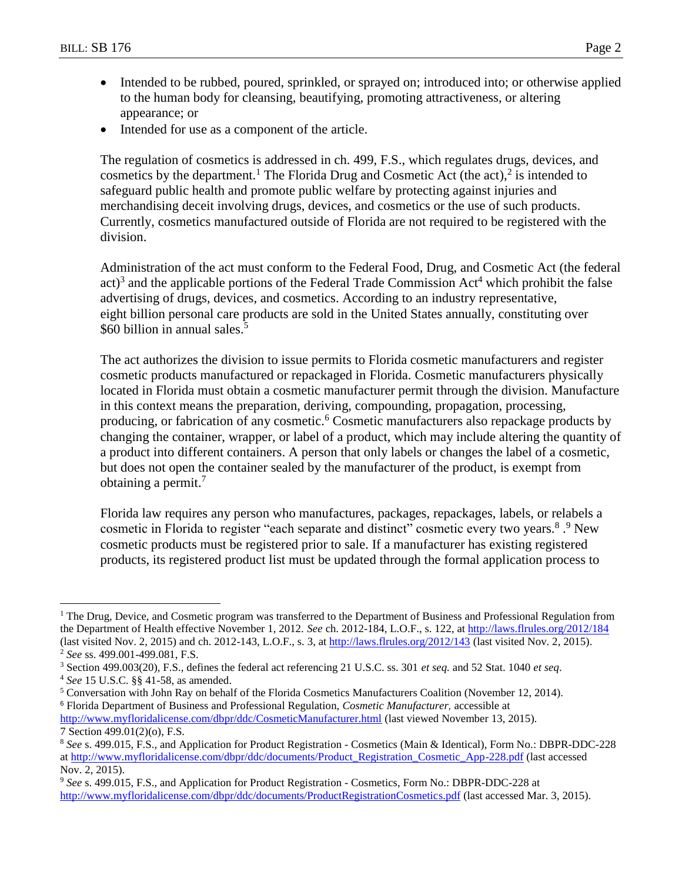- Intended to be rubbed, poured, sprinkled, or sprayed on; introduced into; or otherwise applied to the human body for cleansing, beautifying, promoting attractiveness, or altering appearance; or
- Intended for use as a component of the article.

The regulation of cosmetics is addressed in ch. 499, F.S., which regulates drugs, devices, and cosmetics by the department.<sup>1</sup> The Florida Drug and Cosmetic Act (the act),<sup>2</sup> is intended to safeguard public health and promote public welfare by protecting against injuries and merchandising deceit involving drugs, devices, and cosmetics or the use of such products. Currently, cosmetics manufactured outside of Florida are not required to be registered with the division.

Administration of the act must conform to the Federal Food, Drug, and Cosmetic Act (the federal  $act$ <sup>3</sup> and the applicable portions of the Federal Trade Commission Act<sup>4</sup> which prohibit the false advertising of drugs, devices, and cosmetics. According to an industry representative, eight billion personal care products are sold in the United States annually, constituting over \$60 billion in annual sales.<sup>5</sup>

The act authorizes the division to issue permits to Florida cosmetic manufacturers and register cosmetic products manufactured or repackaged in Florida. Cosmetic manufacturers physically located in Florida must obtain a cosmetic manufacturer permit through the division. Manufacture in this context means the preparation, deriving, compounding, propagation, processing, producing, or fabrication of any cosmetic.<sup>6</sup> Cosmetic manufacturers also repackage products by changing the container, wrapper, or label of a product, which may include altering the quantity of a product into different containers. A person that only labels or changes the label of a cosmetic, but does not open the container sealed by the manufacturer of the product, is exempt from obtaining a permit. $\frac{7}{2}$ 

Florida law requires any person who manufactures, packages, repackages, labels, or relabels a cosmetic in Florida to register "each separate and distinct" cosmetic every two years.<sup>8</sup>.<sup>9</sup> New cosmetic products must be registered prior to sale. If a manufacturer has existing registered products, its registered product list must be updated through the formal application process to

 $\overline{a}$ 

<sup>5</sup> Conversation with John Ray on behalf of the Florida Cosmetics Manufacturers Coalition (November 12, 2014). <sup>6</sup> Florida Department of Business and Professional Regulation, *Cosmetic Manufacturer,* accessible at

<http://www.myfloridalicense.com/dbpr/ddc/CosmeticManufacturer.html> (last viewed November 13, 2015). 7 Section 499.01(2)(o), F.S.

<sup>&</sup>lt;sup>1</sup> The Drug, Device, and Cosmetic program was transferred to the Department of Business and Professional Regulation from the Department of Health effective November 1, 2012. *See* ch. 2012-184, L.O.F., s. 122, at<http://laws.flrules.org/2012/184> (last visited Nov. 2, 2015) and ch. 2012-143, L.O.F., s. 3, a[t http://laws.flrules.org/2012/143](http://laws.flrules.org/2012/143) (last visited Nov. 2, 2015).

<sup>2</sup> *See* ss. 499.001-499.081, F.S.

<sup>3</sup> Section 499.003(20), F.S., defines the federal act referencing 21 U.S.C. ss. 301 *et seq.* and 52 Stat. 1040 *et seq*. <sup>4</sup> *See* 15 U.S.C. §§ 41-58, as amended.

<sup>8</sup> *See* s. 499.015, F.S., and Application for Product Registration - Cosmetics (Main & Identical), Form No.: DBPR-DDC-228 a[t http://www.myfloridalicense.com/dbpr/ddc/documents/Product\\_Registration\\_Cosmetic\\_App-228.pdf](http://www.myfloridalicense.com/dbpr/ddc/documents/Product_Registration_Cosmetic_App-228.pdf) (last accessed Nov. 2, 2015).

<sup>9</sup> *See* s. 499.015, F.S., and Application for Product Registration - Cosmetics, Form No.: DBPR-DDC-228 at <http://www.myfloridalicense.com/dbpr/ddc/documents/ProductRegistrationCosmetics.pdf> (last accessed Mar. 3, 2015).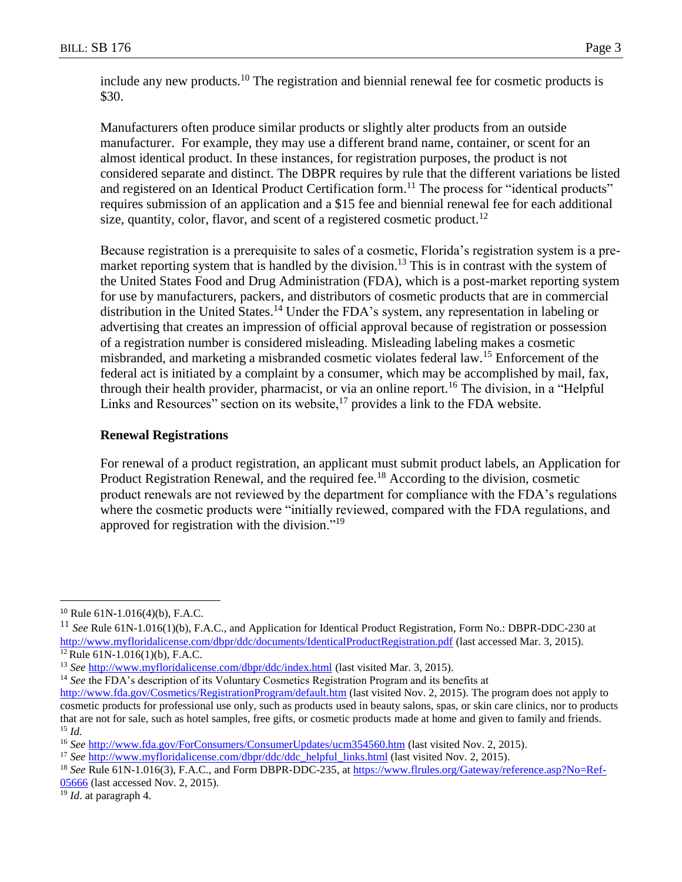include any new products.<sup>10</sup> The registration and biennial renewal fee for cosmetic products is \$30.

Manufacturers often produce similar products or slightly alter products from an outside manufacturer. For example, they may use a different brand name, container, or scent for an almost identical product. In these instances, for registration purposes, the product is not considered separate and distinct. The DBPR requires by rule that the different variations be listed and registered on an Identical Product Certification form.<sup>11</sup> The process for "identical products" requires submission of an application and a \$15 fee and biennial renewal fee for each additional size, quantity, color, flavor, and scent of a registered cosmetic product.<sup>12</sup>

Because registration is a prerequisite to sales of a cosmetic, Florida's registration system is a premarket reporting system that is handled by the division.<sup>13</sup> This is in contrast with the system of the United States Food and Drug Administration (FDA), which is a post-market reporting system for use by manufacturers, packers, and distributors of cosmetic products that are in commercial distribution in the United States.<sup>14</sup> Under the FDA's system, any representation in labeling or advertising that creates an impression of official approval because of registration or possession of a registration number is considered misleading. Misleading labeling makes a cosmetic misbranded, and marketing a misbranded cosmetic violates federal law.<sup>15</sup> Enforcement of the federal act is initiated by a complaint by a consumer, which may be accomplished by mail, fax, through their health provider, pharmacist, or via an online report.<sup>16</sup> The division, in a "Helpful Links and Resources" section on its website, $^{17}$  provides a link to the FDA website.

### **Renewal Registrations**

For renewal of a product registration, an applicant must submit product labels, an Application for Product Registration Renewal, and the required fee.<sup>18</sup> According to the division, cosmetic product renewals are not reviewed by the department for compliance with the FDA's regulations where the cosmetic products were "initially reviewed, compared with the FDA regulations, and approved for registration with the division."<sup>19</sup>

 $\overline{a}$ 

<sup>14</sup> *See* the FDA's description of its Voluntary Cosmetics Registration Program and its benefits at

<sup>19</sup> *Id*. at paragraph 4.

<sup>10</sup> Rule 61N-1.016(4)(b), F.A.C.

<sup>11</sup> *See* Rule 61N-1.016(1)(b), F.A.C., and Application for Identical Product Registration, Form No.: DBPR-DDC-230 at <http://www.myfloridalicense.com/dbpr/ddc/documents/IdenticalProductRegistration.pdf> (last accessed Mar. 3, 2015).

 $12$  Rule 61N-1.016(1)(b), F.A.C.

<sup>13</sup> *See* <http://www.myfloridalicense.com/dbpr/ddc/index.html> (last visited Mar. 3, 2015).

<http://www.fda.gov/Cosmetics/RegistrationProgram/default.htm> (last visited Nov. 2, 2015). The program does not apply to cosmetic products for professional use only, such as products used in beauty salons, spas, or skin care clinics, nor to products that are not for sale, such as hotel samples, free gifts, or cosmetic products made at home and given to family and friends. <sup>15</sup> *Id.*

<sup>16</sup> *See* <http://www.fda.gov/ForConsumers/ConsumerUpdates/ucm354560.htm> (last visited Nov. 2, 2015).

<sup>&</sup>lt;sup>17</sup> *See* [http://www.myfloridalicense.com/dbpr/ddc/ddc\\_helpful\\_links.html](http://www.myfloridalicense.com/dbpr/ddc/ddc_helpful_links.html) (last visited Nov. 2, 2015).

<sup>18</sup> *See* Rule 61N-1.016(3), F.A.C., and Form DBPR-DDC-235, at [https://www.flrules.org/Gateway/reference.asp?No=Ref-](https://www.flrules.org/Gateway/reference.asp?No=Ref-05666)[05666](https://www.flrules.org/Gateway/reference.asp?No=Ref-05666) (last accessed Nov. 2, 2015).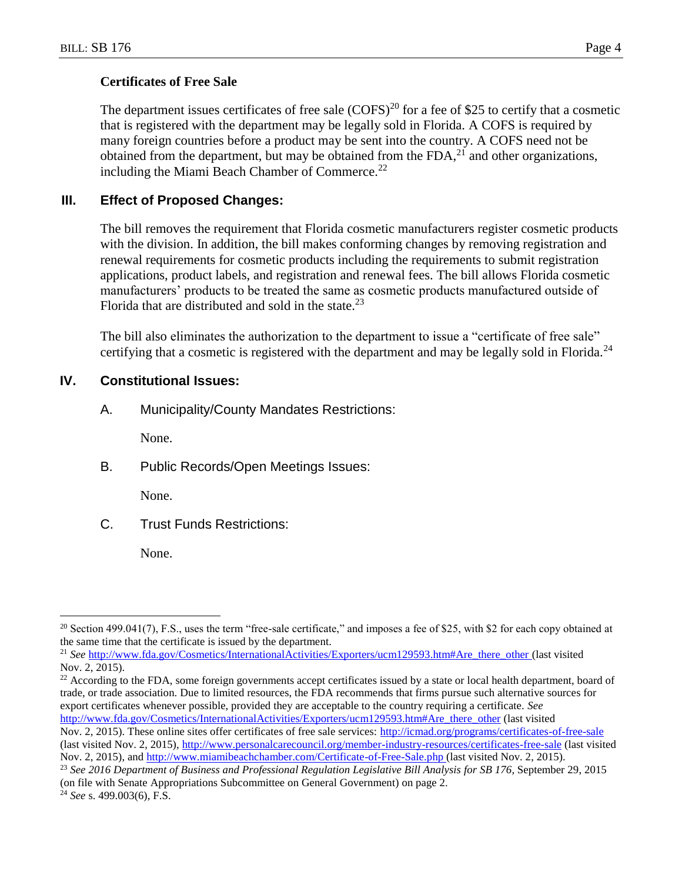## **Certificates of Free Sale**

The department issues certificates of free sale  $(COFS)^{20}$  for a fee of \$25 to certify that a cosmetic that is registered with the department may be legally sold in Florida. A COFS is required by many foreign countries before a product may be sent into the country. A COFS need not be obtained from the department, but may be obtained from the  $FDA<sub>1</sub><sup>21</sup>$  and other organizations, including the Miami Beach Chamber of Commerce.<sup>22</sup>

# **III. Effect of Proposed Changes:**

The bill removes the requirement that Florida cosmetic manufacturers register cosmetic products with the division. In addition, the bill makes conforming changes by removing registration and renewal requirements for cosmetic products including the requirements to submit registration applications, product labels, and registration and renewal fees. The bill allows Florida cosmetic manufacturers' products to be treated the same as cosmetic products manufactured outside of Florida that are distributed and sold in the state. $^{23}$ 

The bill also eliminates the authorization to the department to issue a "certificate of free sale" certifying that a cosmetic is registered with the department and may be legally sold in Florida.<sup>24</sup>

# **IV. Constitutional Issues:**

A. Municipality/County Mandates Restrictions:

None.

B. Public Records/Open Meetings Issues:

None.

C. Trust Funds Restrictions:

None.

<sup>22</sup> According to the FDA, some foreign governments accept certificates issued by a state or local health department, board of trade, or trade association. Due to limited resources, the FDA recommends that firms pursue such alternative sources for export certificates whenever possible, provided they are acceptable to the country requiring a certificate. *See*  [http://www.fda.gov/Cosmetics/InternationalActivities/Exporters/ucm129593.htm#Are\\_there\\_other](http://www.fda.gov/Cosmetics/InternationalActivities/Exporters/ucm129593.htm#Are_there_other) (last visited

 $\overline{a}$ 

<sup>&</sup>lt;sup>20</sup> Section 499.041(7), F.S., uses the term "free-sale certificate," and imposes a fee of \$25, with \$2 for each copy obtained at the same time that the certificate is issued by the department.

<sup>&</sup>lt;sup>21</sup> *See* [http://www.fda.gov/Cosmetics/InternationalActivities/Exporters/ucm129593.htm#Are\\_there\\_other](http://www.fda.gov/Cosmetics/InternationalActivities/Exporters/ucm129593.htm#Are_there_other) (last visited Nov. 2, 2015).

Nov. 2, 2015). These online sites offer certificates of free sale services: <http://icmad.org/programs/certificates-of-free-sale> (last visited Nov. 2, 2015),<http://www.personalcarecouncil.org/member-industry-resources/certificates-free-sale> (last visited Nov. 2, 2015), and<http://www.miamibeachchamber.com/Certificate-of-Free-Sale.php> (last visited Nov. 2, 2015).

<sup>23</sup> *See 2016 Department of Business and Professional Regulation Legislative Bill Analysis for SB 176,* September 29, 2015 (on file with Senate Appropriations Subcommittee on General Government) on page 2.

<sup>24</sup> *See* s. 499.003(6), F.S.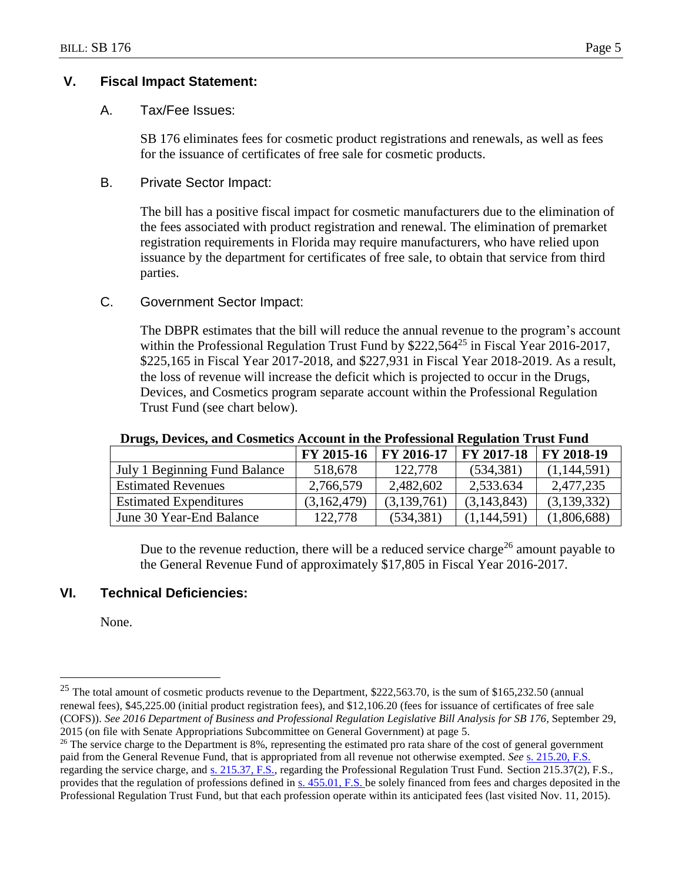## **V. Fiscal Impact Statement:**

### A. Tax/Fee Issues:

SB 176 eliminates fees for cosmetic product registrations and renewals, as well as fees for the issuance of certificates of free sale for cosmetic products.

### B. Private Sector Impact:

The bill has a positive fiscal impact for cosmetic manufacturers due to the elimination of the fees associated with product registration and renewal. The elimination of premarket registration requirements in Florida may require manufacturers, who have relied upon issuance by the department for certificates of free sale, to obtain that service from third parties.

## C. Government Sector Impact:

The DBPR estimates that the bill will reduce the annual revenue to the program's account within the Professional Regulation Trust Fund by  $$222,564^{25}$  in Fiscal Year 2016-2017, \$225,165 in Fiscal Year 2017-2018, and \$227,931 in Fiscal Year 2018-2019. As a result, the loss of revenue will increase the deficit which is projected to occur in the Drugs, Devices, and Cosmetics program separate account within the Professional Regulation Trust Fund (see chart below).

#### **Drugs, Devices, and Cosmetics Account in the Professional Regulation Trust Fund**

|                               | <b>FY 2015-16</b> | FY 2016-17  | <b>FY 2017-18</b> | <b>FY 2018-19</b> |
|-------------------------------|-------------------|-------------|-------------------|-------------------|
| July 1 Beginning Fund Balance | 518,678           | 122,778     | (534, 381)        | (1,144,591)       |
| <b>Estimated Revenues</b>     | 2,766,579         | 2,482,602   | 2,533.634         | 2,477,235         |
| <b>Estimated Expenditures</b> | (3,162,479)       | (3,139,761) | (3,143,843)       | (3,139,332)       |
| June 30 Year-End Balance      | 122,778           | (534, 381)  | (1,144,591)       | (1,806,688)       |

Due to the revenue reduction, there will be a reduced service charge<sup>26</sup> amount payable to the General Revenue Fund of approximately \$17,805 in Fiscal Year 2016-2017.

## **VI. Technical Deficiencies:**

None.

 $\overline{a}$ 

<sup>&</sup>lt;sup>25</sup> The total amount of cosmetic products revenue to the Department, \$222,563.70, is the sum of \$165,232.50 (annual renewal fees), \$45,225.00 (initial product registration fees), and \$12,106.20 (fees for issuance of certificates of free sale (COFS)). *See 2016 Department of Business and Professional Regulation Legislative Bill Analysis for SB 176,* September 29, 2015 (on file with Senate Appropriations Subcommittee on General Government) at page 5.

 $26$  The service charge to the Department is 8%, representing the estimated pro rata share of the cost of general government paid from the General Revenue Fund, that is appropriated from all revenue not otherwise exempted. *See* s. [215.20, F.S.](http://www.leg.state.fl.us/Statutes/index.cfm?App_mode=Display_Statute&Search_String=&URL=0200-0299/0215/Sections/0215.20.html) regarding the service charge, and s. [215.37, F.S.,](http://www.leg.state.fl.us/Statutes/index.cfm?App_mode=Display_Statute&Search_String=&URL=0200-0299/0215/Sections/0215.37.html) regarding the Professional Regulation Trust Fund. Section 215.37(2), F.S., provides that the regulation of professions defined in s. [455.01, F.S. b](http://www.leg.state.fl.us/statutes/index.cfm?App_mode=Display_Statute&Search_String=Professional%20Regulation%20Trust&URL=0400-0499/0455/Sections/0455.01.html)e solely financed from fees and charges deposited in the Professional Regulation Trust Fund, but that each profession operate within its anticipated fees (last visited Nov. 11, 2015).